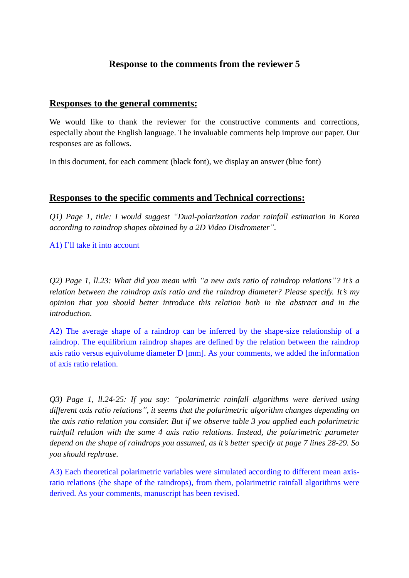# **Response to the comments from the reviewer 5**

### **Responses to the general comments:**

We would like to thank the reviewer for the constructive comments and corrections, especially about the English language. The invaluable comments help improve our paper. Our responses are as follows.

In this document, for each comment (black font), we display an answer (blue font)

## **Responses to the specific comments and Technical corrections:**

*Q1) Page 1, title: I would suggest "Dual-polarization radar rainfall estimation in Korea according to raindrop shapes obtained by a 2D Video Disdrometer".*

A1) I'll take it into account

*Q2) Page 1, ll.23: What did you mean with "a new axis ratio of raindrop relations"? it's a relation between the raindrop axis ratio and the raindrop diameter? Please specify. It's my opinion that you should better introduce this relation both in the abstract and in the introduction.* 

A2) The average shape of a raindrop can be inferred by the shape-size relationship of a raindrop. The equilibrium raindrop shapes are defined by the relation between the raindrop axis ratio versus equivolume diameter D [mm]. As your comments, we added the information of axis ratio relation.

*Q3) Page 1, ll.24-25: If you say: "polarimetric rainfall algorithms were derived using different axis ratio relations", it seems that the polarimetric algorithm changes depending on the axis ratio relation you consider. But if we observe table 3 you applied each polarimetric rainfall relation with the same 4 axis ratio relations. Instead, the polarimetric parameter depend on the shape of raindrops you assumed, as it's better specify at page 7 lines 28-29. So you should rephrase.*

A3) Each theoretical polarimetric variables were simulated according to different mean axisratio relations (the shape of the raindrops), from them, polarimetric rainfall algorithms were derived. As your comments, manuscript has been revised.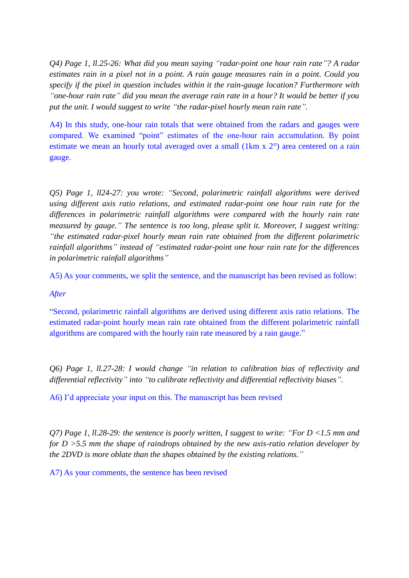*Q4) Page 1, ll.25-26: What did you mean saying "radar-point one hour rain rate"? A radar estimates rain in a pixel not in a point. A rain gauge measures rain in a point. Could you specify if the pixel in question includes within it the rain-gauge location? Furthermore with "one-hour rain rate" did you mean the average rain rate in a hour? It would be better if you put the unit. I would suggest to write "the radar-pixel hourly mean rain rate".*

A4) In this study, one-hour rain totals that were obtained from the radars and gauges were compared. We examined "point" estimates of the one-hour rain accumulation. By point estimate we mean an hourly total averaged over a small (1km x 2°) area centered on a rain gauge.

*Q5) Page 1, ll24-27: you wrote: "Second, polarimetric rainfall algorithms were derived using different axis ratio relations, and estimated radar-point one hour rain rate for the differences in polarimetric rainfall algorithms were compared with the hourly rain rate measured by gauge." The sentence is too long, please split it. Moreover, I suggest writing: "the estimated radar-pixel hourly mean rain rate obtained from the different polarimetric rainfall algorithms" instead of "estimated radar-point one hour rain rate for the differences in polarimetric rainfall algorithms"*

A5) As your comments, we split the sentence, and the manuscript has been revised as follow:

#### *After*

"Second, polarimetric rainfall algorithms are derived using different axis ratio relations. The estimated radar-point hourly mean rain rate obtained from the different polarimetric rainfall algorithms are compared with the hourly rain rate measured by a rain gauge."

*Q6) Page 1, ll.27-28: I would change "in relation to calibration bias of reflectivity and differential reflectivity" into "to calibrate reflectivity and differential reflectivity biases".*

A6) I'd appreciate your input on this. The manuscript has been revised

*Q7) Page 1, ll.28-29: the sentence is poorly written, I suggest to write: "For D <1.5 mm and for D >5.5 mm the shape of raindrops obtained by the new axis-ratio relation developer by the 2DVD is more oblate than the shapes obtained by the existing relations."*

A7) As your comments, the sentence has been revised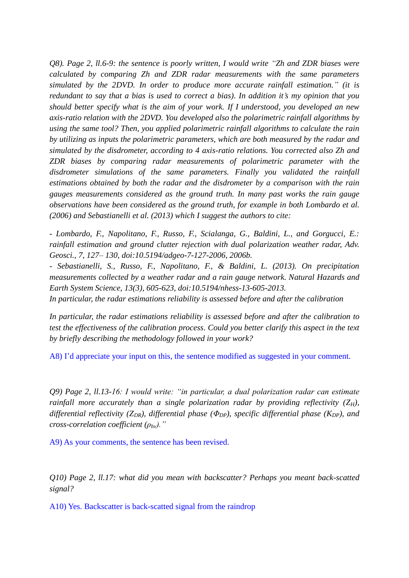*Q8). Page 2, ll.6-9: the sentence is poorly written, I would write "Zh and ZDR biases were calculated by comparing Zh and ZDR radar measurements with the same parameters simulated by the 2DVD. In order to produce more accurate rainfall estimation." (it is redundant to say that a bias is used to correct a bias). In addition it's my opinion that you should better specify what is the aim of your work. If I understood, you developed an new axis-ratio relation with the 2DVD. You developed also the polarimetric rainfall algorithms by using the same tool? Then, you applied polarimetric rainfall algorithms to calculate the rain by utilizing as inputs the polarimetric parameters, which are both measured by the radar and simulated by the disdrometer, according to 4 axis-ratio relations. You corrected also Zh and ZDR biases by comparing radar measurements of polarimetric parameter with the disdrometer simulations of the same parameters. Finally you validated the rainfall estimations obtained by both the radar and the disdrometer by a comparison with the rain gauges measurements considered as the ground truth. In many past works the rain gauge observations have been considered as the ground truth, for example in both Lombardo et al. (2006) and Sebastianelli et al. (2013) which I suggest the authors to cite:*

*- Lombardo, F., Napolitano, F., Russo, F., Scialanga, G., Baldini, L., and Gorgucci, E.: rainfall estimation and ground clutter rejection with dual polarization weather radar, Adv. Geosci., 7, 127– 130, doi:10.5194/adgeo-7-127-2006, 2006b.* 

*- Sebastianelli, S., Russo, F., Napolitano, F., & Baldini, L. (2013). On precipitation measurements collected by a weather radar and a rain gauge network. Natural Hazards and Earth System Science, 13(3), 605-623, doi:10.5194/nhess-13-605-2013.*

*In particular, the radar estimations reliability is assessed before and after the calibration*

*In particular, the radar estimations reliability is assessed before and after the calibration to test the effectiveness of the calibration process. Could you better clarify this aspect in the text by briefly describing the methodology followed in your work?* 

A8) I'd appreciate your input on this, the sentence modified as suggested in your comment.

*Q9) Page 2, ll.13-16: I would write: "in particular, a dual polarization radar can estimate rainfall more accurately than a single polarization radar by providing reflectivity (* $Z_H$ *), differential reflectivity (ZDR), differential phase (ΦDP), specific differential phase (KDP), and cross-correlation coefficient (ρhv)."*

A9) As your comments, the sentence has been revised.

*Q10) Page 2, ll.17: what did you mean with backscatter? Perhaps you meant back-scatted signal?*

A10) Yes. Backscatter is back-scatted signal from the raindrop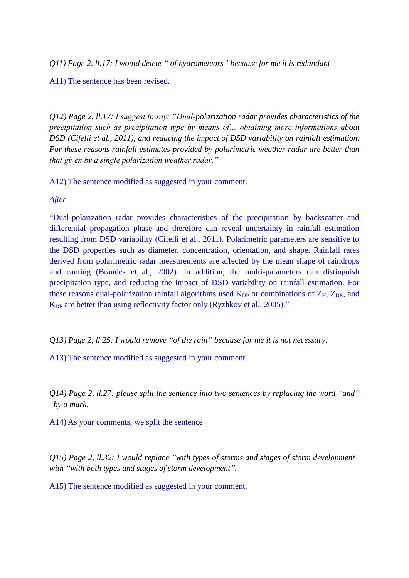*Q11) Page 2, ll.17: I would delete " of hydrometeors" because for me it is redundant*

#### A11) The sentence has been revised.

*Q12) Page 2, ll.17: I suggest to say: "Dual-polarization radar provides characteristics of the precipitation such as precipitation type by means of… obtaining more informations about DSD (Cifelli et al., 2011), and reducing the impact of DSD variability on rainfall estimation. For these reasons rainfall estimates provided by polarimetric weather radar are better than that given by a single polarization weather radar."*

A12) The sentence modified as suggested in your comment.

*After*

"Dual-polarization radar provides characteristics of the precipitation by backscatter and differential propagation phase and therefore can reveal uncertainty in rainfall estimation resulting from DSD variability (Cifelli et al., 2011). Polarimetric parameters are sensitive to the DSD properties such as diameter, concentration, orientation, and shape. Rainfall rates derived from polarimetric radar measurements are affected by the mean shape of raindrops and canting (Brandes et al., 2002). In addition, the multi-parameters can distinguish precipitation type, and reducing the impact of DSD variability on rainfall estimation. For these reasons dual-polarization rainfall algorithms used  $K_{DP}$  or combinations of  $Z_H$ ,  $Z_{DR}$ , and K<sub>DP</sub> are better than using reflectivity factor only (Ryzhkov et al., 2005)."

*Q13) Page 2, ll.25: I would remove "of the rain" because for me it is not necessary.*

A13) The sentence modified as suggested in your comment.

*Q14) Page 2, ll.27: please split the sentence into two sentences by replacing the word "and" by a mark.*

A14) As your comments, we split the sentence

*Q15) Page 2, ll.32: I would replace "with types of storms and stages of storm development" with "with both types and stages of storm development".*

A15) The sentence modified as suggested in your comment.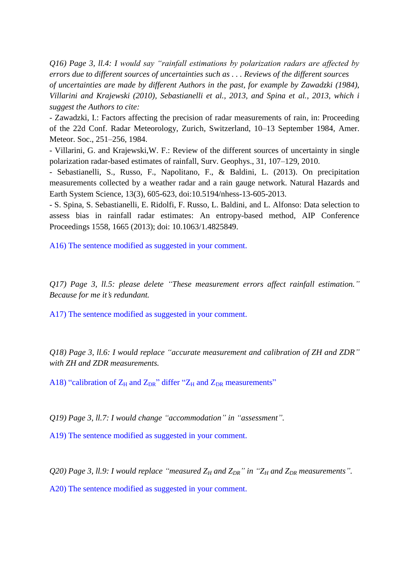*Q16) Page 3, ll.4: I would say "rainfall estimations by polarization radars are affected by errors due to different sources of uncertainties such as . . . Reviews of the different sources of uncertainties are made by different Authors in the past, for example by Zawadzki (1984), Villarini and Krajewski (2010), Sebastianelli et al., 2013, and Spina et al., 2013, which i suggest the Authors to cite:*

- Zawadzki, I.: Factors affecting the precision of radar measurements of rain, in: Proceeding of the 22d Conf. Radar Meteorology, Zurich, Switzerland, 10–13 September 1984, Amer. Meteor. Soc., 251–256, 1984.

- Villarini, G. and Krajewski,W. F.: Review of the different sources of uncertainty in single polarization radar-based estimates of rainfall, Surv. Geophys., 31, 107–129, 2010.

- Sebastianelli, S., Russo, F., Napolitano, F., & Baldini, L. (2013). On precipitation measurements collected by a weather radar and a rain gauge network. Natural Hazards and Earth System Science, 13(3), 605-623, doi:10.5194/nhess-13-605-2013.

- S. Spina, S. Sebastianelli, E. Ridolfi, F. Russo, L. Baldini, and L. Alfonso: Data selection to assess bias in rainfall radar estimates: An entropy-based method, AIP Conference Proceedings 1558, 1665 (2013); doi: 10.1063/1.4825849.

A16) The sentence modified as suggested in your comment.

*Q17) Page 3, ll.5: please delete "These measurement errors affect rainfall estimation." Because for me it's redundant.*

A17) The sentence modified as suggested in your comment.

*Q18) Page 3, ll.6: I would replace "accurate measurement and calibration of ZH and ZDR" with ZH and ZDR measurements.*

A18) "calibration of  $Z_H$  and  $Z_{DR}$ " differ " $Z_H$  and  $Z_{DR}$  measurements"

*Q19) Page 3, ll.7: I would change "accommodation" in "assessment".*

A19) The sentence modified as suggested in your comment.

*Q20) Page 3, ll.9: I would replace "measured Z<sup>H</sup> and ZDR" in "Z<sup>H</sup> and ZDR measurements".*

A20) The sentence modified as suggested in your comment.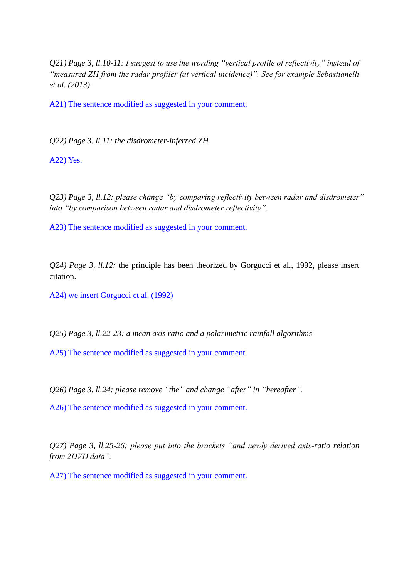*Q21) Page 3, ll.10-11: I suggest to use the wording "vertical profile of reflectivity" instead of "measured ZH from the radar profiler (at vertical incidence)". See for example Sebastianelli et al. (2013)*

A21) The sentence modified as suggested in your comment.

*Q22) Page 3, ll.11: the disdrometer-inferred ZH*

A22) Yes.

*Q23) Page 3, ll.12: please change "by comparing reflectivity between radar and disdrometer" into "by comparison between radar and disdrometer reflectivity".*

A23) The sentence modified as suggested in your comment.

*Q24) Page 3, ll.12:* the principle has been theorized by Gorgucci et al., 1992, please insert citation.

A24) we insert Gorgucci et al. (1992)

*Q25) Page 3, ll.22-23: a mean axis ratio and a polarimetric rainfall algorithms*

A25) The sentence modified as suggested in your comment.

*Q26) Page 3, ll.24: please remove "the" and change "after" in "hereafter".*

A26) The sentence modified as suggested in your comment.

*Q27) Page 3, ll.25-26: please put into the brackets "and newly derived axis-ratio relation from 2DVD data".*

A27) The sentence modified as suggested in your comment.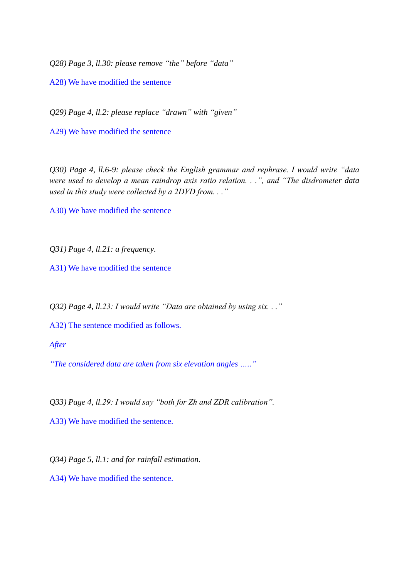*Q28) Page 3, ll.30: please remove "the" before "data"*

A28) We have modified the sentence

*Q29) Page 4, ll.2: please replace "drawn" with "given"*

A29) We have modified the sentence

*Q30) Page 4, ll.6-9: please check the English grammar and rephrase. I would write "data were used to develop a mean raindrop axis ratio relation. . .", and "The disdrometer data used in this study were collected by a 2DVD from. . ."*

A30) We have modified the sentence

*Q31) Page 4, ll.21: a frequency.*

A31) We have modified the sentence

*Q32) Page 4, ll.23: I would write "Data are obtained by using six. . ."*

A32) The sentence modified as follows.

*After*

*"The considered data are taken from six elevation angles ….."*

*Q33) Page 4, ll.29: I would say "both for Zh and ZDR calibration".*

A33) We have modified the sentence.

*Q34) Page 5, ll.1: and for rainfall estimation.*

A34) We have modified the sentence.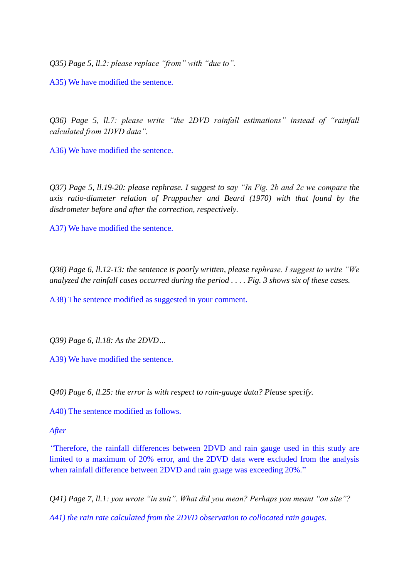*Q35) Page 5, ll.2: please replace "from" with "due to".*

A35) We have modified the sentence.

*Q36) Page 5, ll.7: please write "the 2DVD rainfall estimations" instead of "rainfall calculated from 2DVD data".*

A36) We have modified the sentence.

*Q37) Page 5, ll.19-20: please rephrase. I suggest to say "In Fig. 2b and 2c we compare the axis ratio-diameter relation of Pruppacher and Beard (1970) with that found by the disdrometer before and after the correction, respectively.*

A37) We have modified the sentence.

*Q38) Page 6, ll.12-13: the sentence is poorly written, please rephrase. I suggest to write "We analyzed the rainfall cases occurred during the period . . . . Fig. 3 shows six of these cases.*

A38) The sentence modified as suggested in your comment.

*Q39) Page 6, ll.18: As the 2DVD…*

A39) We have modified the sentence.

*Q40) Page 6, ll.25: the error is with respect to rain-gauge data? Please specify.*

A40) The sentence modified as follows.

*After*

*"*Therefore, the rainfall differences between 2DVD and rain gauge used in this study are limited to a maximum of 20% error, and the 2DVD data were excluded from the analysis when rainfall difference between 2DVD and rain guage was exceeding 20%."

*Q41) Page 7, ll.1: you wrote "in suit". What did you mean? Perhaps you meant "on site"?*

*A41) the rain rate calculated from the 2DVD observation to collocated rain gauges.*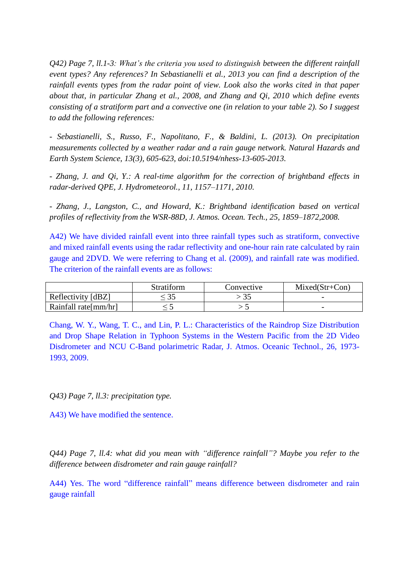*Q42) Page 7, ll.1-3: What's the criteria you used to distinguish between the different rainfall event types? Any references? In Sebastianelli et al., 2013 you can find a description of the rainfall events types from the radar point of view. Look also the works cited in that paper about that, in particular Zhang et al., 2008, and Zhang and Qi, 2010 which define events consisting of a stratiform part and a convective one (in relation to your table 2). So I suggest to add the following references:*

*- Sebastianelli, S., Russo, F., Napolitano, F., & Baldini, L. (2013). On precipitation measurements collected by a weather radar and a rain gauge network. Natural Hazards and Earth System Science, 13(3), 605-623, doi:10.5194/nhess-13-605-2013.*

*- Zhang, J. and Qi, Y.: A real-time algorithm for the correction of brightband effects in radar-derived QPE, J. Hydrometeorol., 11, 1157–1171, 2010.*

*- Zhang, J., Langston, C., and Howard, K.: Brightband identification based on vertical profiles of reflectivity from the WSR-88D, J. Atmos. Ocean. Tech., 25, 1859–1872,2008.*

A42) We have divided rainfall event into three rainfall types such as stratiform, convective and mixed rainfall events using the radar reflectivity and one-hour rain rate calculated by rain gauge and 2DVD. We were referring to Chang et al. (2009), and rainfall rate was modified. The criterion of the rainfall events are as follows:

|                       | Stratiform | Convective | $Mixed (Str+Con)$        |
|-----------------------|------------|------------|--------------------------|
| Reflectivity [dBZ]    |            |            | $\overline{\phantom{0}}$ |
| Rainfall rate [mm/hr] |            |            | $\overline{\phantom{0}}$ |

Chang, W. Y., Wang, T. C., and Lin, P. L.: Characteristics of the Raindrop Size Distribution and Drop Shape Relation in Typhoon Systems in the Western Pacific from the 2D Video Disdrometer and NCU C-Band polarimetric Radar, J. Atmos. Oceanic Technol., 26, 1973- 1993, 2009.

*Q43) Page 7, ll.3: precipitation type.*

A43) We have modified the sentence.

*Q44) Page 7, ll.4: what did you mean with "difference rainfall"? Maybe you refer to the difference between disdrometer and rain gauge rainfall?*

A44) Yes. The word "difference rainfall" means difference between disdrometer and rain gauge rainfall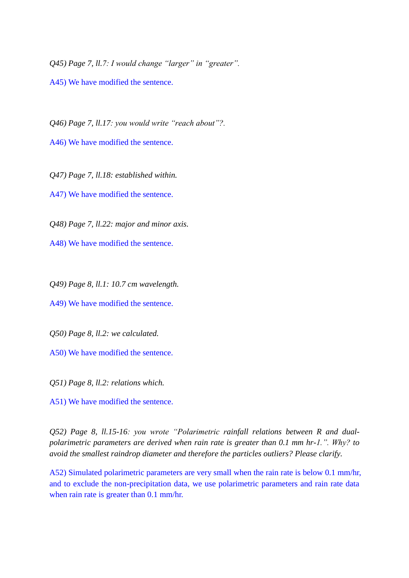*Q45) Page 7, ll.7: I would change "larger" in "greater".*

A45) We have modified the sentence.

*Q46) Page 7, ll.17: you would write "reach about"?.*

A46) We have modified the sentence.

*Q47) Page 7, ll.18: established within.*

A47) We have modified the sentence.

*Q48) Page 7, ll.22: major and minor axis.*

A48) We have modified the sentence.

*Q49) Page 8, ll.1: 10.7 cm wavelength.*

A49) We have modified the sentence.

*Q50) Page 8, ll.2: we calculated.*

A50) We have modified the sentence.

*Q51) Page 8, ll.2: relations which.*

A51) We have modified the sentence.

*Q52) Page 8, ll.15-16: you wrote "Polarimetric rainfall relations between R and dualpolarimetric parameters are derived when rain rate is greater than 0.1 mm hr-1.". Why? to avoid the smallest raindrop diameter and therefore the particles outliers? Please clarify.*

A52) Simulated polarimetric parameters are very small when the rain rate is below 0.1 mm/hr, and to exclude the non-precipitation data, we use polarimetric parameters and rain rate data when rain rate is greater than 0.1 mm/hr.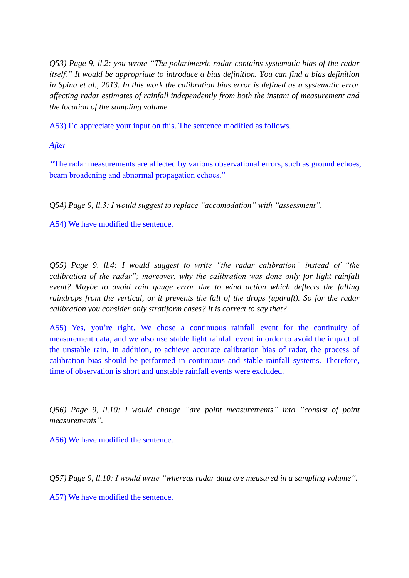*Q53) Page 9, ll.2: you wrote "The polarimetric radar contains systematic bias of the radar itself." It would be appropriate to introduce a bias definition. You can find a bias definition in Spina et al., 2013. In this work the calibration bias error is defined as a systematic error affecting radar estimates of rainfall independently from both the instant of measurement and the location of the sampling volume.*

A53) I'd appreciate your input on this. The sentence modified as follows.

*After*

*"*The radar measurements are affected by various observational errors, such as ground echoes, beam broadening and abnormal propagation echoes."

*Q54) Page 9, ll.3: I would suggest to replace "accomodation" with "assessment".*

A54) We have modified the sentence.

*Q55) Page 9, ll.4: I would suggest to write "the radar calibration" instead of "the calibration of the radar"; moreover, why the calibration was done only for light rainfall event? Maybe to avoid rain gauge error due to wind action which deflects the falling raindrops from the vertical, or it prevents the fall of the drops (updraft). So for the radar calibration you consider only stratiform cases? It is correct to say that?*

A55) Yes, you're right. We chose a continuous rainfall event for the continuity of measurement data, and we also use stable light rainfall event in order to avoid the impact of the unstable rain. In addition, to achieve accurate calibration bias of radar, the process of calibration bias should be performed in continuous and stable rainfall systems. Therefore, time of observation is short and unstable rainfall events were excluded.

*Q56) Page 9, ll.10: I would change "are point measurements" into "consist of point measurements".*

A56) We have modified the sentence.

*Q57) Page 9, ll.10: I would write "whereas radar data are measured in a sampling volume".*

A57) We have modified the sentence.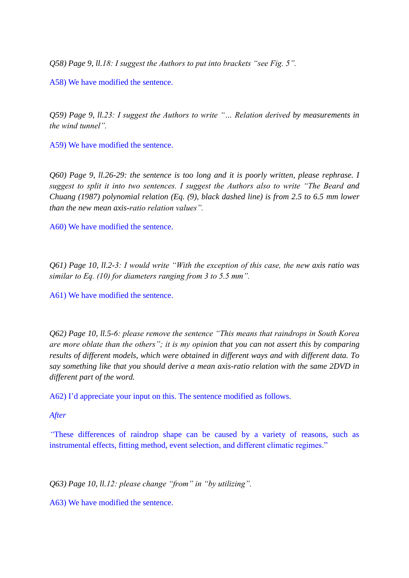*Q58) Page 9, ll.18: I suggest the Authors to put into brackets "see Fig. 5".*

A58) We have modified the sentence.

*Q59) Page 9, ll.23: I suggest the Authors to write "… Relation derived by measurements in the wind tunnel".*

A59) We have modified the sentence.

*Q60) Page 9, ll.26-29: the sentence is too long and it is poorly written, please rephrase. I suggest to split it into two sentences. I suggest the Authors also to write "The Beard and Chuang (1987) polynomial relation (Eq. (9), black dashed line) is from 2.5 to 6.5 mm lower than the new mean axis-ratio relation values".*

A60) We have modified the sentence.

*Q61) Page 10, ll.2-3: I would write "With the exception of this case, the new axis ratio was similar to Eq. (10) for diameters ranging from 3 to 5.5 mm".*

A61) We have modified the sentence.

*Q62) Page 10, ll.5-6: please remove the sentence "This means that raindrops in South Korea are more oblate than the others"; it is my opinion that you can not assert this by comparing results of different models, which were obtained in different ways and with different data. To say something like that you should derive a mean axis-ratio relation with the same 2DVD in different part of the word.*

A62) I'd appreciate your input on this. The sentence modified as follows.

*After*

*"*These differences of raindrop shape can be caused by a variety of reasons, such as instrumental effects, fitting method, event selection, and different climatic regimes."

*Q63) Page 10, ll.12: please change "from" in "by utilizing".*

A63) We have modified the sentence.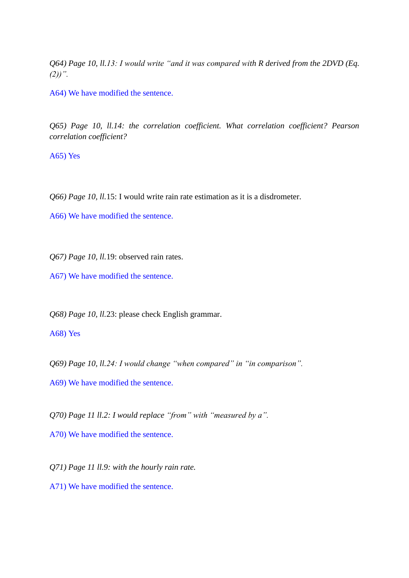*Q64) Page 10, ll.13: I would write "and it was compared with R derived from the 2DVD (Eq. (2))".*

A64) We have modified the sentence.

*Q65) Page 10, ll.14: the correlation coefficient. What correlation coefficient? Pearson correlation coefficient?*

A65) Yes

*Q66) Page 10, ll.*15: I would write rain rate estimation as it is a disdrometer.

A66) We have modified the sentence.

*Q67) Page 10, ll.*19: observed rain rates.

A67) We have modified the sentence.

*Q68) Page 10, ll.*23: please check English grammar.

A68) Yes

*Q69) Page 10, ll.24: I would change "when compared" in "in comparison".*

A69) We have modified the sentence.

*Q70) Page 11 ll.2: I would replace "from" with "measured by a".*

A70) We have modified the sentence.

*Q71) Page 11 ll.9: with the hourly rain rate.*

A71) We have modified the sentence.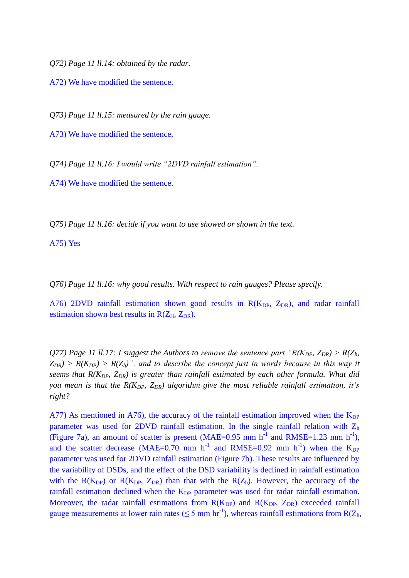*Q72) Page 11 ll.14: obtained by the radar.*

A72) We have modified the sentence.

*Q73) Page 11 ll.15: measured by the rain gauge.*

A73) We have modified the sentence.

*Q74) Page 11 ll.16: I would write "2DVD rainfall estimation".*

A74) We have modified the sentence.

*Q75) Page 11 ll.16: decide if you want to use showed or shown in the text.*

A75) Yes

*Q76) Page 11 ll.16: why good results. With respect to rain gauges? Please specify.*

A76) 2DVD rainfall estimation shown good results in  $R(K_{DP}, Z_{DR})$ , and radar rainfall estimation shown best results in  $R(Z_H, Z_{DR})$ .

*Q77)* Page 11 *ll.17: I suggest the Authors to remove the sentence part "R(K<sub>DP</sub>, Z<sub>DR</sub>) > R(Z<sub>h</sub>,*  $Z_{DR}$ ) >  $R(K_{DP})$  >  $R(Z_h)$ ", and to describe the concept just in words because in this way it *seems that R(KDP, ZDR) is greater than rainfall estimated by each other formula. What did you mean is that the R(KDP, ZDR) algorithm give the most reliable rainfall estimation, it's right?*

A77) As mentioned in A76), the accuracy of the rainfall estimation improved when the  $K_{DP}$ parameter was used for 2DVD rainfall estimation. In the single rainfall relation with  $Z<sub>h</sub>$ (Figure 7a), an amount of scatter is present (MAE= $0.95$  mm h<sup>-1</sup> and RMSE= $1.23$  mm h<sup>-1</sup>), and the scatter decrease (MAE=0.70 mm h<sup>-1</sup> and RMSE=0.92 mm h<sup>-1</sup>) when the  $K_{DP}$ parameter was used for 2DVD rainfall estimation (Figure 7b). These results are influenced by the variability of DSDs, and the effect of the DSD variability is declined in rainfall estimation with the  $R(K_{DP})$  or  $R(K_{DP}, Z_{DR})$  than that with the  $R(Z_h)$ . However, the accuracy of the rainfall estimation declined when the  $K_{DP}$  parameter was used for radar rainfall estimation. Moreover, the radar rainfall estimations from  $R(K_{DP})$  and  $R(K_{DP}, Z_{DR})$  exceeded rainfall gauge measurements at lower rain rates ( $\leq$  5 mm hr<sup>-1</sup>), whereas rainfall estimations from R( $Z_h$ ),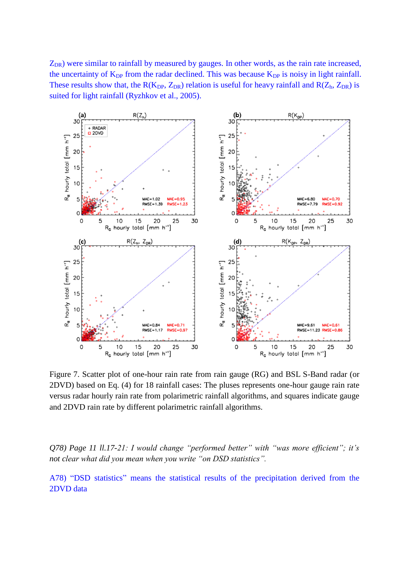$Z_{DR}$ ) were similar to rainfall by measured by gauges. In other words, as the rain rate increased, the uncertainty of  $K_{DP}$  from the radar declined. This was because  $K_{DP}$  is noisy in light rainfall. These results show that, the  $R(K_{DP}, Z_{DR})$  relation is useful for heavy rainfall and  $R(Z_h, Z_{DR})$  is suited for light rainfall (Ryzhkov et al., 2005).



Figure 7. Scatter plot of one-hour rain rate from rain gauge (RG) and BSL S-Band radar (or 2DVD) based on Eq. (4) for 18 rainfall cases: The pluses represents one-hour gauge rain rate versus radar hourly rain rate from polarimetric rainfall algorithms, and squares indicate gauge and 2DVD rain rate by different polarimetric rainfall algorithms.

*Q78) Page 11 ll.17-21: I would change "performed better" with "was more efficient"; it's not clear what did you mean when you write "on DSD statistics".*

A78) "DSD statistics" means the statistical results of the precipitation derived from the 2DVD data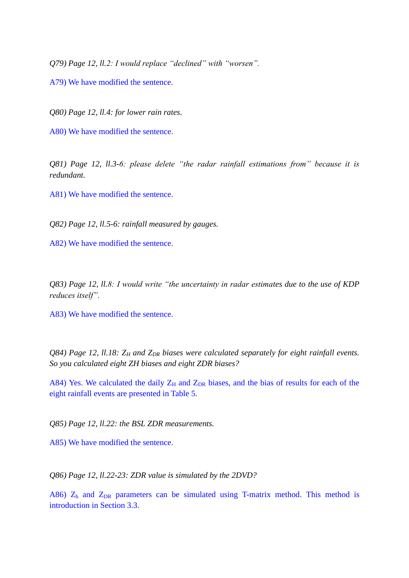*Q79) Page 12, ll.2: I would replace "declined" with "worsen".*

A79) We have modified the sentence.

*Q80) Page 12, ll.4: for lower rain rates.*

A80) We have modified the sentence.

*Q81) Page 12, ll.3-6: please delete "the radar rainfall estimations from" because it is redundant.*

A81) We have modified the sentence.

*Q82) Page 12, ll.5-6: rainfall measured by gauges.*

A82) We have modified the sentence.

*Q83) Page 12, ll.8: I would write "the uncertainty in radar estimates due to the use of KDP reduces itself".*

A83) We have modified the sentence.

*Q84) Page 12, ll.18: Z<sup>H</sup> and ZDR biases were calculated separately for eight rainfall events. So you calculated eight ZH biases and eight ZDR biases?*

A84) Yes. We calculated the daily  $Z_H$  and  $Z_{DR}$  biases, and the bias of results for each of the eight rainfall events are presented in Table 5.

*Q85) Page 12, ll.22: the BSL ZDR measurements.*

A85) We have modified the sentence.

*Q86) Page 12, ll.22-23: ZDR value is simulated by the 2DVD?*

A86)  $Z<sub>h</sub>$  and  $Z<sub>DR</sub>$  parameters can be simulated using T-matrix method. This method is introduction in Section 3.3.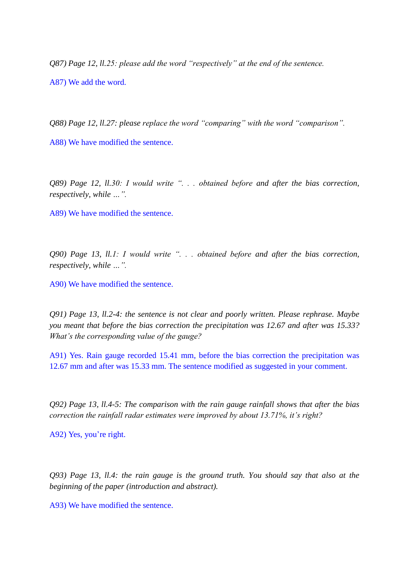*Q87) Page 12, ll.25: please add the word "respectively" at the end of the sentence.* A87) We add the word.

*Q88) Page 12, ll.27: please replace the word "comparing" with the word "comparison".*

A88) We have modified the sentence.

*Q89) Page 12, ll.30: I would write ". . . obtained before and after the bias correction, respectively, while …".*

A89) We have modified the sentence.

*Q90) Page 13, ll.1: I would write ". . . obtained before and after the bias correction, respectively, while …".*

A90) We have modified the sentence.

*Q91) Page 13, ll.2-4: the sentence is not clear and poorly written. Please rephrase. Maybe you meant that before the bias correction the precipitation was 12.67 and after was 15.33? What's the corresponding value of the gauge?*

A91) Yes. Rain gauge recorded 15.41 mm, before the bias correction the precipitation was 12.67 mm and after was 15.33 mm. The sentence modified as suggested in your comment.

*Q92) Page 13, ll.4-5: The comparison with the rain gauge rainfall shows that after the bias correction the rainfall radar estimates were improved by about 13.71%, it's right?*

A92) Yes, you're right.

*Q93) Page 13, ll.4: the rain gauge is the ground truth. You should say that also at the beginning of the paper (introduction and abstract).*

A93) We have modified the sentence.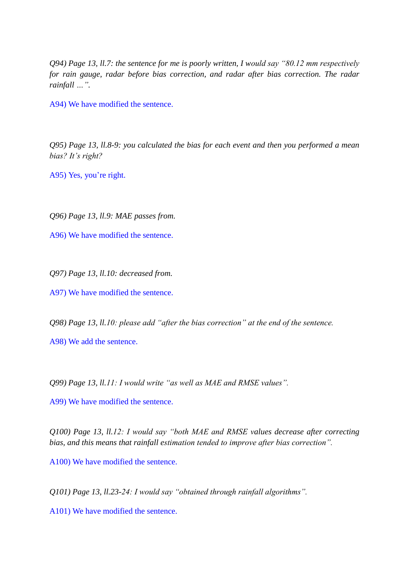*Q94) Page 13, ll.7: the sentence for me is poorly written, I would say "80.12 mm respectively for rain gauge, radar before bias correction, and radar after bias correction. The radar rainfall …".*

A94) We have modified the sentence.

*Q95) Page 13, ll.8-9: you calculated the bias for each event and then you performed a mean bias? It's right?*

A95) Yes, you're right.

*Q96) Page 13, ll.9: MAE passes from.*

A96) We have modified the sentence.

*Q97) Page 13, ll.10: decreased from.*

A97) We have modified the sentence.

*Q98) Page 13, ll.10: please add "after the bias correction" at the end of the sentence.*

A98) We add the sentence.

*Q99) Page 13, ll.11: I would write "as well as MAE and RMSE values".*

A99) We have modified the sentence.

*Q100) Page 13, ll.12: I would say "both MAE and RMSE values decrease after correcting bias, and this means that rainfall estimation tended to improve after bias correction".*

A100) We have modified the sentence.

*Q101) Page 13, ll.23-24: I would say "obtained through rainfall algorithms".*

A101) We have modified the sentence.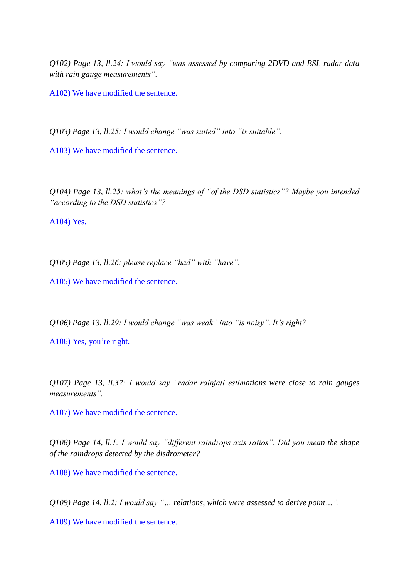*Q102) Page 13, ll.24: I would say "was assessed by comparing 2DVD and BSL radar data with rain gauge measurements".*

A102) We have modified the sentence.

*Q103) Page 13, ll.25: I would change "was suited" into "is suitable".*

A103) We have modified the sentence.

*Q104) Page 13, ll.25: what's the meanings of "of the DSD statistics"? Maybe you intended "according to the DSD statistics"?*

A104) Yes.

*Q105) Page 13, ll.26: please replace "had" with "have".*

A105) We have modified the sentence.

*Q106) Page 13, ll.29: I would change "was weak" into "is noisy". It's right?*

A106) Yes, you're right.

*Q107) Page 13, ll.32: I would say "radar rainfall estimations were close to rain gauges measurements".*

A107) We have modified the sentence.

*Q108) Page 14, ll.1: I would say "different raindrops axis ratios". Did you mean the shape of the raindrops detected by the disdrometer?*

A108) We have modified the sentence.

*Q109) Page 14, ll.2: I would say "… relations, which were assessed to derive point…".*

A109) We have modified the sentence.